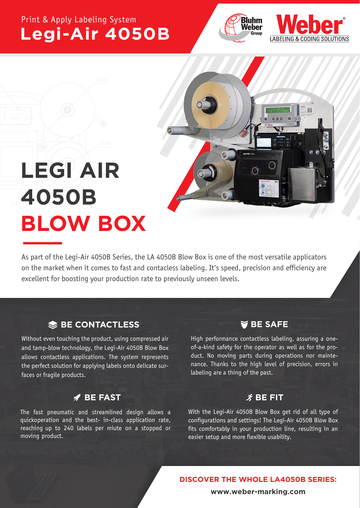## Print & Apply Labeling System **Legi-Air 4050B**







# **LEGI AIR 4050B BLOW BOX**

As part of the Legi-Air 4050B Series, the LA 4050B Blow Box is one of the most versatile applicators on the market when it comes to fast and contacless labeling. It's speed, precision and efficiency are excellent for boosting your production rate to previously unseen levels.

## **BE CONTACTLESS**

Without even touching the product, using compressed air and tamp-blow technology, the Legi-Air 4050B Blow Box allows contactless applications. The system represents the perfect solution for applying labels onto delicate surfaces or fragile products.

### **BE FAST**

The fast pneumatic and streamlined design allows a quickoperation and the best- in-class application rate, reaching up to 240 labels per miute on a stopped or moving product.

## **BE SAFE**

High performance contactless labeling, assuring a oneof-a-kind safety for the operator as well as for the product. No moving parts during operations nor maintenance. Thanks to the high level of precision, errors in labeling are a thing of the past.

## $\hat{\mathbf{X}}$  BE FIT

With the Legi-Air 4050B Blow Box get rid of all type of configurations and settings! The Legi-Air 4050B Blow Box fits comfortably in your production line, resulting in an easier setup and more flexible usability.

 **DISCOVER THE WHOLE LA4050B SERIES:**

**www.weber-marking.com**